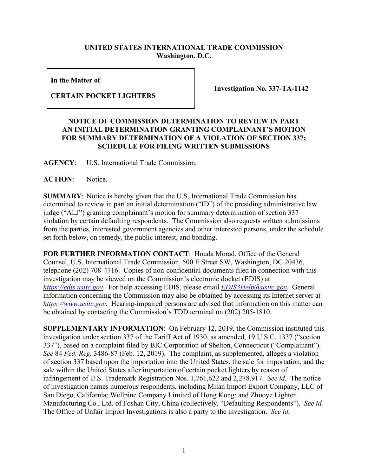## **UNITED STATES INTERNATIONAL TRADE COMMISSION Washington, D.C.**

**In the Matter of**

## **CERTAIN POCKET LIGHTERS**

**Investigation No. 337-TA-1142**

## **NOTICE OF COMMISSION DETERMINATION TO REVIEW IN PART AN INITIAL DETERMINATION GRANTING COMPLAINANT'S MOTION FOR SUMMARY DETERMINATION OF A VIOLATION OF SECTION 337; SCHEDULE FOR FILING WRITTEN SUBMISSIONS**

**AGENCY**: U.S. International Trade Commission.

## **ACTION**: Notice.

**SUMMARY**: Notice is hereby given that the U.S. International Trade Commission has determined to review in part an initial determination ("ID") of the presiding administrative law judge ("ALJ") granting complainant's motion for summary determination of section 337 violation by certain defaulting respondents. The Commission also requests written submissions from the parties, interested government agencies and other interested persons, under the schedule set forth below, on remedy, the public interest, and bonding.

**FOR FURTHER INFORMATION CONTACT**: Houda Morad, Office of the General Counsel, U.S. International Trade Commission, 500 E Street SW, Washington, DC 20436, telephone (202) 708-4716. Copies of non-confidential documents filed in connection with this investigation may be viewed on the Commission's electronic docket (EDIS) at *[https://edis.usitc.gov](https://edis.usitc.gov/)*. For help accessing EDIS, please email *[EDIS3Help@usitc.gov](mailto:EDIS3Help@usitc.gov)*. General information concerning the Commission may also be obtained by accessing its Internet server at *[https://www.usitc.gov](https://www.usitc.gov/)*. Hearing-impaired persons are advised that information on this matter can be obtained by contacting the Commission's TDD terminal on (202) 205-1810.

**SUPPLEMENTARY INFORMATION**: On February 12, 2019, the Commission instituted this investigation under section 337 of the Tariff Act of 1930, as amended, 19 U.S.C. 1337 ("section 337"), based on a complaint filed by BIC Corporation of Shelton, Connecticut ("Complainant"). *See* 84 *Fed. Reg.* 3486-87 (Feb. 12, 2019). The complaint, as supplemented, alleges a violation of section 337 based upon the importation into the United States, the sale for importation, and the sale within the United States after importation of certain pocket lighters by reason of infringement of U.S. Trademark Registration Nos. 1,761,622 and 2,278,917. *See id.* The notice of investigation names numerous respondents, including Milan Import Export Company, LLC of San Diego, California; Wellpine Company Limited of Hong Kong; and Zhuoye Lighter Manufacturing Co., Ltd. of Foshan City, China (collectively, "Defaulting Respondents"). *See id.* The Office of Unfair Import Investigations is also a party to the investigation. *See id.*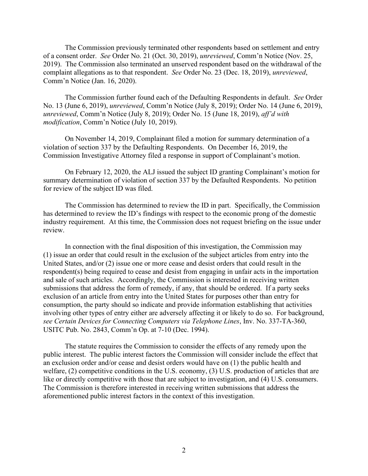The Commission previously terminated other respondents based on settlement and entry of a consent order. *See* Order No. 21 (Oct. 30, 2019), *unreviewed*, Comm'n Notice (Nov. 25, 2019). The Commission also terminated an unserved respondent based on the withdrawal of the complaint allegations as to that respondent. *See* Order No. 23 (Dec. 18, 2019), *unreviewed*, Comm'n Notice (Jan. 16, 2020).

The Commission further found each of the Defaulting Respondents in default. *See* Order No. 13 (June 6, 2019), *unreviewed*, Comm'n Notice (July 8, 2019); Order No. 14 (June 6, 2019), *unreviewed*, Comm'n Notice (July 8, 2019); Order No. 15 (June 18, 2019), *aff'd with modification*, Comm'n Notice (July 10, 2019).

On November 14, 2019, Complainant filed a motion for summary determination of a violation of section 337 by the Defaulting Respondents. On December 16, 2019, the Commission Investigative Attorney filed a response in support of Complainant's motion.

On February 12, 2020, the ALJ issued the subject ID granting Complainant's motion for summary determination of violation of section 337 by the Defaulted Respondents. No petition for review of the subject ID was filed.

The Commission has determined to review the ID in part. Specifically, the Commission has determined to review the ID's findings with respect to the economic prong of the domestic industry requirement. At this time, the Commission does not request briefing on the issue under review.

In connection with the final disposition of this investigation, the Commission may (1) issue an order that could result in the exclusion of the subject articles from entry into the United States, and/or (2) issue one or more cease and desist orders that could result in the respondent(s) being required to cease and desist from engaging in unfair acts in the importation and sale of such articles. Accordingly, the Commission is interested in receiving written submissions that address the form of remedy, if any, that should be ordered. If a party seeks exclusion of an article from entry into the United States for purposes other than entry for consumption, the party should so indicate and provide information establishing that activities involving other types of entry either are adversely affecting it or likely to do so. For background, *see Certain Devices for Connecting Computers via Telephone Lines*, Inv. No. 337-TA-360, USITC Pub. No. 2843, Comm'n Op. at 7-10 (Dec. 1994).

The statute requires the Commission to consider the effects of any remedy upon the public interest. The public interest factors the Commission will consider include the effect that an exclusion order and/or cease and desist orders would have on (1) the public health and welfare, (2) competitive conditions in the U.S. economy, (3) U.S. production of articles that are like or directly competitive with those that are subject to investigation, and (4) U.S. consumers. The Commission is therefore interested in receiving written submissions that address the aforementioned public interest factors in the context of this investigation.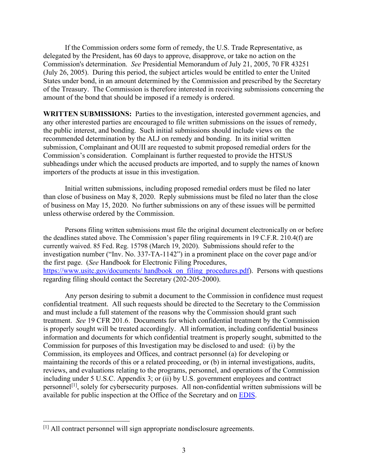If the Commission orders some form of remedy, the U.S. Trade Representative, as delegated by the President, has 60 days to approve, disapprove, or take no action on the Commission's determination. *See* Presidential Memorandum of July 21, 2005, 70 FR 43251 (July 26, 2005). During this period, the subject articles would be entitled to enter the United States under bond, in an amount determined by the Commission and prescribed by the Secretary of the Treasury. The Commission is therefore interested in receiving submissions concerning the amount of the bond that should be imposed if a remedy is ordered.

**WRITTEN SUBMISSIONS:** Parties to the investigation, interested government agencies, and any other interested parties are encouraged to file written submissions on the issues of remedy, the public interest, and bonding. Such initial submissions should include views on the recommended determination by the ALJ on remedy and bonding. In its initial written submission, Complainant and OUII are requested to submit proposed remedial orders for the Commission's consideration. Complainant is further requested to provide the HTSUS subheadings under which the accused products are imported, and to supply the names of known importers of the products at issue in this investigation.

Initial written submissions, including proposed remedial orders must be filed no later than close of business on May 8, 2020. Reply submissions must be filed no later than the close of business on May 15, 2020. No further submissions on any of these issues will be permitted unless otherwise ordered by the Commission.

Persons filing written submissions must file the original document electronically on or before the deadlines stated above. The Commission's paper filing requirements in 19 C.F.R. 210.4(f) are currently waived. 85 Fed. Reg. 15798 (March 19, 2020). Submissions should refer to the investigation number ("Inv. No. 337-TA-1142") in a prominent place on the cover page and/or the first page. (*See* Handbook for Electronic Filing Procedures, https://www.usitc.gov/documents/ handbook on filing procedures.pdf). Persons with questions regarding filing should contact the Secretary (202-205-2000).

Any person desiring to submit a document to the Commission in confidence must request confidential treatment. All such requests should be directed to the Secretary to the Commission and must include a full statement of the reasons why the Commission should grant such treatment. *See* 19 CFR 201.6. Documents for which confidential treatment by the Commission is properly sought will be treated accordingly. All information, including confidential business information and documents for which confidential treatment is properly sought, submitted to the Commission for purposes of this Investigation may be disclosed to and used: (i) by the Commission, its employees and Offices, and contract personnel (a) for developing or maintaining the records of this or a related proceeding, or (b) in internal investigations, audits, reviews, and evaluations relating to the programs, personnel, and operations of the Commission including under 5 U.S.C. Appendix 3; or (ii) by U.S. government employees and contract personnel[\[1\]](#page-2-0), solely for cybersecurity purposes. All non-confidential written submissions will be available for public inspection at the Office of the Secretary and on [EDIS.](http://edis.usitc.gov/)

<span id="page-2-0"></span><sup>[1]</sup> All contract personnel will sign appropriate nondisclosure agreements.